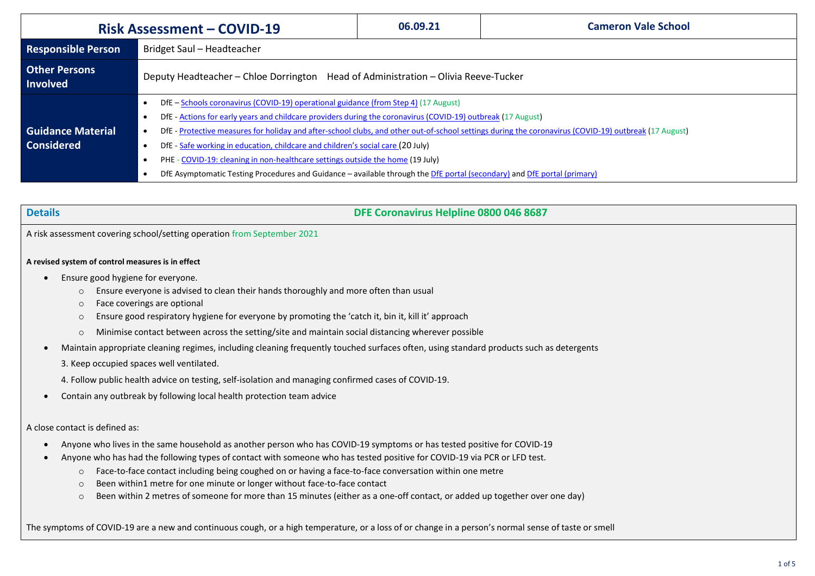| <b>Risk Assessment - COVID-19</b>             |                                                                                                                                                                                                                                                                                                                                                                                                                                                                                                                                                                                                                                                               | 06.09.21 | <b>Cameron Vale School</b> |  |  |  |  |
|-----------------------------------------------|---------------------------------------------------------------------------------------------------------------------------------------------------------------------------------------------------------------------------------------------------------------------------------------------------------------------------------------------------------------------------------------------------------------------------------------------------------------------------------------------------------------------------------------------------------------------------------------------------------------------------------------------------------------|----------|----------------------------|--|--|--|--|
| <b>Responsible Person</b>                     | Bridget Saul - Headteacher                                                                                                                                                                                                                                                                                                                                                                                                                                                                                                                                                                                                                                    |          |                            |  |  |  |  |
| <b>Other Persons</b><br><b>Involved</b>       | Deputy Headteacher - Chloe Dorrington Head of Administration - Olivia Reeve-Tucker                                                                                                                                                                                                                                                                                                                                                                                                                                                                                                                                                                            |          |                            |  |  |  |  |
| <b>Guidance Material</b><br><b>Considered</b> | DfE - Schools coronavirus (COVID-19) operational guidance (from Step 4) (17 August)<br>DfE - Actions for early years and childcare providers during the coronavirus (COVID-19) outbreak (17 August)<br>DfE - Protective measures for holiday and after-school clubs, and other out-of-school settings during the coronavirus (COVID-19) outbreak (17 August)<br>DfE - Safe working in education, childcare and children's social care (20 July)<br>PHE - COVID-19: cleaning in non-healthcare settings outside the home (19 July)<br>DfE Asymptomatic Testing Procedures and Guidance - available through the DfE portal (secondary) and DfE portal (primary) |          |                            |  |  |  |  |

| etail: |  |
|--------|--|
|        |  |
|        |  |

**Details DFE Coronavirus Helpline 0800 046 8687**

A risk assessment covering school/setting operation from September 2021

## **A revised system of control measures is in effect**

- Ensure good hygiene for everyone.
	- o Ensure everyone is advised to clean their hands thoroughly and more often than usual
	- o Face coverings are optional
	- o Ensure good respiratory hygiene for everyone by promoting the 'catch it, bin it, kill it' approach
	- o Minimise contact between across the setting/site and maintain social distancing wherever possible
- Maintain appropriate cleaning regimes, including cleaning frequently touched surfaces often, using standard products such as detergents

3. Keep occupied spaces well ventilated.

4. Follow public health advice on testing, self-isolation and managing confirmed cases of COVID-19.

• Contain any outbreak by following local health protection team advice

## A close contact is defined as:

- Anyone who lives in the same household as another person who has COVID-19 symptoms or has tested positive for COVID-19
- Anyone who has had the following types of contact with someone who has tested positive for COVID-19 via PCR or LFD test.
	- o Face-to-face contact including being coughed on or having a face-to-face conversation within one metre
	- o Been within1 metre for one minute or longer without face-to-face contact
	- o Been within 2 metres of someone for more than 15 minutes (either as a one-off contact, or added up together over one day)

The symptoms of COVID-19 are a new and continuous cough, or a high temperature, or a loss of or change in a person's normal sense of taste or smell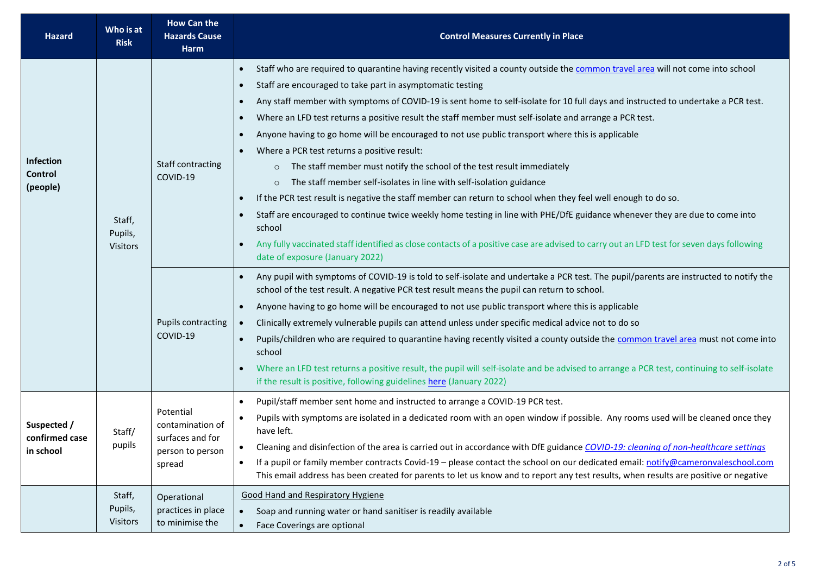| Hazard                                     | Who is at<br><b>Risk</b>             | <b>How Can the</b><br><b>Hazards Cause</b><br><b>Harm</b>                       | <b>Control Measures Currently in Place</b>                                                                                                                                                                                                                                                                                                                                                                                                                                                                                                                                                                                                                                                                                                                                                                                                                                                                                                                                                                                                                                                                                                                                                                                                                                                                                        |  |  |  |
|--------------------------------------------|--------------------------------------|---------------------------------------------------------------------------------|-----------------------------------------------------------------------------------------------------------------------------------------------------------------------------------------------------------------------------------------------------------------------------------------------------------------------------------------------------------------------------------------------------------------------------------------------------------------------------------------------------------------------------------------------------------------------------------------------------------------------------------------------------------------------------------------------------------------------------------------------------------------------------------------------------------------------------------------------------------------------------------------------------------------------------------------------------------------------------------------------------------------------------------------------------------------------------------------------------------------------------------------------------------------------------------------------------------------------------------------------------------------------------------------------------------------------------------|--|--|--|
| Infection<br>Control<br>(people)           | Staff,<br>Pupils,<br><b>Visitors</b> | Staff contracting<br>COVID-19                                                   | Staff who are required to quarantine having recently visited a county outside the common travel area will not come into school<br>$\bullet$<br>Staff are encouraged to take part in asymptomatic testing<br>$\bullet$<br>Any staff member with symptoms of COVID-19 is sent home to self-isolate for 10 full days and instructed to undertake a PCR test.<br>$\bullet$<br>Where an LFD test returns a positive result the staff member must self-isolate and arrange a PCR test.<br>$\bullet$<br>Anyone having to go home will be encouraged to not use public transport where this is applicable<br>$\bullet$<br>Where a PCR test returns a positive result:<br>$\bullet$<br>The staff member must notify the school of the test result immediately<br>$\circ$<br>The staff member self-isolates in line with self-isolation guidance<br>$\circ$<br>If the PCR test result is negative the staff member can return to school when they feel well enough to do so.<br>$\bullet$<br>Staff are encouraged to continue twice weekly home testing in line with PHE/DfE guidance whenever they are due to come into<br>$\bullet$<br>school<br>Any fully vaccinated staff identified as close contacts of a positive case are advised to carry out an LFD test for seven days following<br>$\bullet$<br>date of exposure (January 2022) |  |  |  |
|                                            |                                      | <b>Pupils contracting</b><br>COVID-19                                           | Any pupil with symptoms of COVID-19 is told to self-isolate and undertake a PCR test. The pupil/parents are instructed to notify the<br>$\bullet$<br>school of the test result. A negative PCR test result means the pupil can return to school.<br>Anyone having to go home will be encouraged to not use public transport where this is applicable<br>$\bullet$<br>Clinically extremely vulnerable pupils can attend unless under specific medical advice not to do so<br>$\bullet$<br>Pupils/children who are required to quarantine having recently visited a county outside the common travel area must not come into<br>$\bullet$<br>school<br>Where an LFD test returns a positive result, the pupil will self-isolate and be advised to arrange a PCR test, continuing to self-isolate<br>$\bullet$<br>if the result is positive, following guidelines here (January 2022)                                                                                                                                                                                                                                                                                                                                                                                                                                                |  |  |  |
| Suspected /<br>confirmed case<br>in school | Staff/<br>pupils                     | Potential<br>contamination of<br>surfaces and for<br>person to person<br>spread | Pupil/staff member sent home and instructed to arrange a COVID-19 PCR test.<br>$\bullet$<br>Pupils with symptoms are isolated in a dedicated room with an open window if possible. Any rooms used will be cleaned once they<br>$\bullet$<br>have left.<br>Cleaning and disinfection of the area is carried out in accordance with DfE guidance COVID-19: cleaning of non-healthcare settings<br>$\bullet$<br>If a pupil or family member contracts Covid-19 - please contact the school on our dedicated email: notify@cameronvaleschool.com<br>$\bullet$<br>This email address has been created for parents to let us know and to report any test results, when results are positive or negative                                                                                                                                                                                                                                                                                                                                                                                                                                                                                                                                                                                                                                 |  |  |  |
|                                            | Staff,<br>Pupils,<br><b>Visitors</b> | Operational<br>practices in place<br>to minimise the                            | <b>Good Hand and Respiratory Hygiene</b><br>Soap and running water or hand sanitiser is readily available<br>$\bullet$<br>Face Coverings are optional<br>$\bullet$                                                                                                                                                                                                                                                                                                                                                                                                                                                                                                                                                                                                                                                                                                                                                                                                                                                                                                                                                                                                                                                                                                                                                                |  |  |  |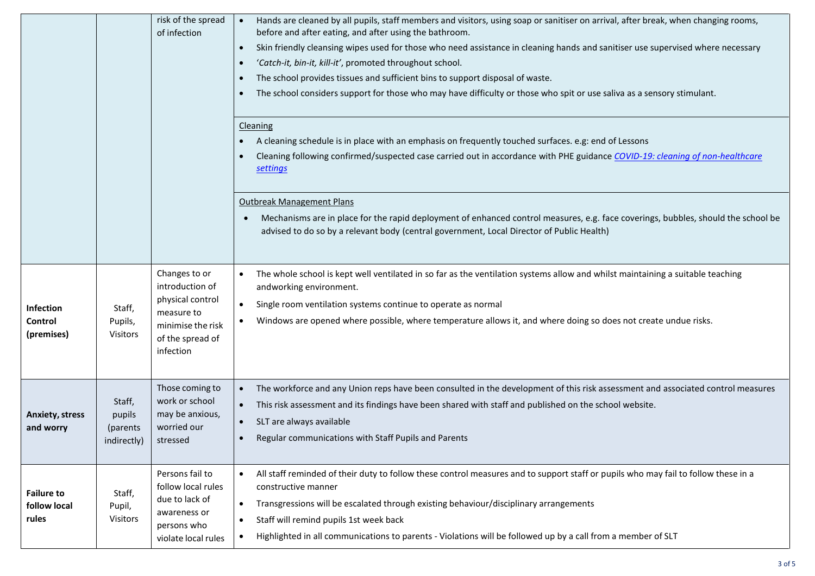| risk of the spread<br>of infection         |                                                                                                                                                                                                                                                                           |                                                                                                                          | Hands are cleaned by all pupils, staff members and visitors, using soap or sanitiser on arrival, after break, when changing rooms,<br>before and after eating, and after using the bathroom.<br>Skin friendly cleansing wipes used for those who need assistance in cleaning hands and sanitiser use supervised where necessary<br>$\bullet$<br>'Catch-it, bin-it, kill-it', promoted throughout school.<br>$\bullet$<br>The school provides tissues and sufficient bins to support disposal of waste.<br>$\bullet$<br>The school considers support for those who may have difficulty or those who spit or use saliva as a sensory stimulant.<br>$\bullet$ |  |  |
|--------------------------------------------|---------------------------------------------------------------------------------------------------------------------------------------------------------------------------------------------------------------------------------------------------------------------------|--------------------------------------------------------------------------------------------------------------------------|------------------------------------------------------------------------------------------------------------------------------------------------------------------------------------------------------------------------------------------------------------------------------------------------------------------------------------------------------------------------------------------------------------------------------------------------------------------------------------------------------------------------------------------------------------------------------------------------------------------------------------------------------------|--|--|
|                                            | Cleaning<br>A cleaning schedule is in place with an emphasis on frequently touched surfaces. e.g: end of Lessons<br>$\bullet$<br>Cleaning following confirmed/suspected case carried out in accordance with PHE guidance COVID-19: cleaning of non-healthcare<br>settings |                                                                                                                          |                                                                                                                                                                                                                                                                                                                                                                                                                                                                                                                                                                                                                                                            |  |  |
|                                            |                                                                                                                                                                                                                                                                           |                                                                                                                          | <b>Outbreak Management Plans</b><br>Mechanisms are in place for the rapid deployment of enhanced control measures, e.g. face coverings, bubbles, should the school be<br>advised to do so by a relevant body (central government, Local Director of Public Health)                                                                                                                                                                                                                                                                                                                                                                                         |  |  |
| Infection<br>Control<br>(premises)         | Staff,<br>Pupils,<br>Visitors                                                                                                                                                                                                                                             | Changes to or<br>introduction of<br>physical control<br>measure to<br>minimise the risk<br>of the spread of<br>infection | The whole school is kept well ventilated in so far as the ventilation systems allow and whilst maintaining a suitable teaching<br>$\bullet$<br>andworking environment.<br>Single room ventilation systems continue to operate as normal<br>$\bullet$<br>Windows are opened where possible, where temperature allows it, and where doing so does not create undue risks.                                                                                                                                                                                                                                                                                    |  |  |
| <b>Anxiety, stress</b><br>and worry        | Staff,<br>pupils<br>(parents<br>indirectly)                                                                                                                                                                                                                               | Those coming to<br>work or school<br>may be anxious,<br>worried our<br>stressed                                          | The workforce and any Union reps have been consulted in the development of this risk assessment and associated control measures<br>$\bullet$<br>This risk assessment and its findings have been shared with staff and published on the school website.<br>SLT are always available<br>$\bullet$<br>Regular communications with Staff Pupils and Parents<br>$\bullet$                                                                                                                                                                                                                                                                                       |  |  |
| <b>Failure to</b><br>follow local<br>rules | Staff,<br>Pupil,<br>Visitors                                                                                                                                                                                                                                              | Persons fail to<br>follow local rules<br>due to lack of<br>awareness or<br>persons who<br>violate local rules            | All staff reminded of their duty to follow these control measures and to support staff or pupils who may fail to follow these in a<br>$\bullet$<br>constructive manner<br>Transgressions will be escalated through existing behaviour/disciplinary arrangements<br>$\bullet$<br>Staff will remind pupils 1st week back<br>$\bullet$<br>Highlighted in all communications to parents - Violations will be followed up by a call from a member of SLT                                                                                                                                                                                                        |  |  |